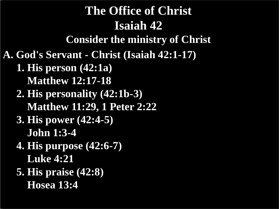# **A. God's Servant - Christ (Isaiah 42:1-17) 1. His person (42:1a) Matthew 12:17-18 2. His personality (42:1b-3) Matthew 11:29, 1 Peter 2:22 3. His power (42:4-5) John 1:3-4 4. His purpose (42:6-7) Luke 4:21 5. His praise (42:8) Hosea 13:4 The Office of Christ Isaiah 42 Consider the ministry of Christ**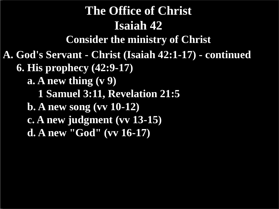# **A. God's Servant - Christ (Isaiah 42:1-17) - continued 6. His prophecy (42:9-17) a. A new thing (v 9) 1 Samuel 3:11, Revelation 21:5 b. A new song (vv 10-12) c. A new judgment (vv 13-15) d. A new "God" (vv 16-17) The Office of Christ Isaiah 42 Consider the ministry of Christ**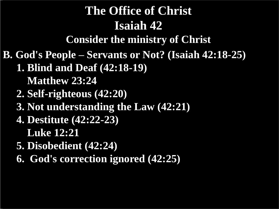# **The Office of Christ Isaiah 42**

**Consider the ministry of Christ**

**B. God's People – Servants or Not? (Isaiah 42:18-25)**

- **1. Blind and Deaf (42:18-19)**
	- **Matthew 23:24**
- **2. Self-righteous (42:20)**
- **3. Not understanding the Law (42:21)**
- **4. Destitute (42:22-23)**
	- **Luke 12:21**
- **5. Disobedient (42:24)**
- **6. God's correction ignored (42:25)**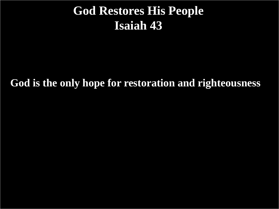## **God Restores His People Isaiah 43**

**God is the only hope for restoration and righteousness**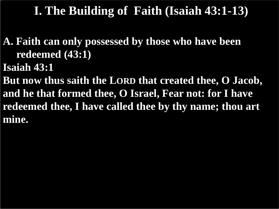- **A. Faith can only possessed by those who have been redeemed (43:1)**
- **Isaiah 43:1**
- **But now thus saith the LORD that created thee, O Jacob, and he that formed thee, O Israel, Fear not: for I have redeemed thee, I have called thee by thy name; thou art mine.**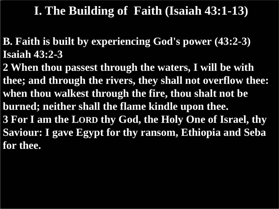**B. Faith is built by experiencing God's power (43:2-3) Isaiah 43:2-3**

**2 When thou passest through the waters, I will be with thee; and through the rivers, they shall not overflow thee: when thou walkest through the fire, thou shalt not be burned; neither shall the flame kindle upon thee. 3 For I am the LORD thy God, the Holy One of Israel, thy Saviour: I gave Egypt for thy ransom, Ethiopia and Seba for thee.**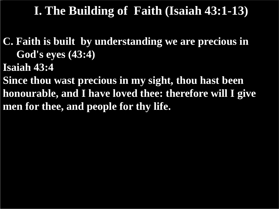- **C. Faith is built by understanding we are precious in God's eyes (43:4)**
- **Isaiah 43:4**
- **Since thou wast precious in my sight, thou hast been honourable, and I have loved thee: therefore will I give men for thee, and people for thy life.**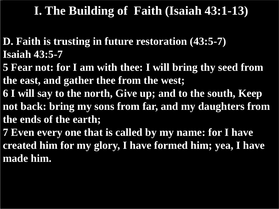- **D. Faith is trusting in future restoration (43:5-7) Isaiah 43:5-7**
- **5 Fear not: for I am with thee: I will bring thy seed from the east, and gather thee from the west;**
- **6 I will say to the north, Give up; and to the south, Keep not back: bring my sons from far, and my daughters from the ends of the earth;**
- **7 Even every one that is called by my name: for I have created him for my glory, I have formed him; yea, I have made him.**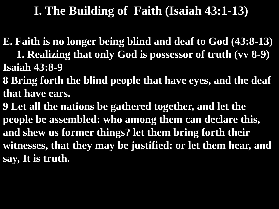**E. Faith is no longer being blind and deaf to God (43:8-13)**

- **1. Realizing that only God is possessor of truth (vv 8-9) Isaiah 43:8-9**
- **8 Bring forth the blind people that have eyes, and the deaf that have ears.**
- **9 Let all the nations be gathered together, and let the people be assembled: who among them can declare this, and shew us former things? let them bring forth their witnesses, that they may be justified: or let them hear, and say, It is truth.**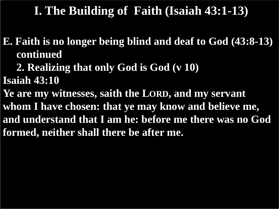**E. Faith is no longer being blind and deaf to God (43:8-13) continued**

 **2. Realizing that only God is God (v 10)**

**Isaiah 43:10**

**Ye are my witnesses, saith the LORD, and my servant whom I have chosen: that ye may know and believe me, and understand that I am he: before me there was no God formed, neither shall there be after me.**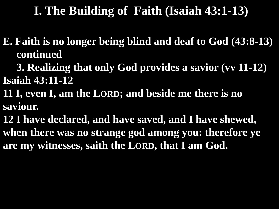**E. Faith is no longer being blind and deaf to God (43:8-13) continued**

 **3. Realizing that only God provides a savior (vv 11-12) Isaiah 43:11-12**

**11 I, even I, am the LORD; and beside me there is no saviour.**

**12 I have declared, and have saved, and I have shewed, when there was no strange god among you: therefore ye are my witnesses, saith the LORD, that I am God.**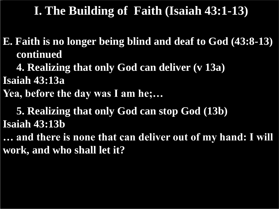**E. Faith is no longer being blind and deaf to God (43:8-13) continued**

 **4. Realizing that only God can deliver (v 13a)**

**Isaiah 43:13a**

**Yea, before the day was I am he;…**

 **5. Realizing that only God can stop God (13b) Isaiah 43:13b**

**… and there is none that can deliver out of my hand: I will work, and who shall let it?**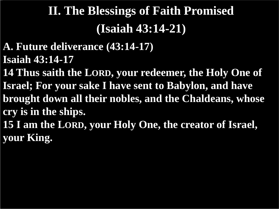- **A. Future deliverance (43:14-17) Isaiah 43:14-17**
- **14 Thus saith the LORD, your redeemer, the Holy One of Israel; For your sake I have sent to Babylon, and have brought down all their nobles, and the Chaldeans, whose cry is in the ships.**
- **15 I am the LORD, your Holy One, the creator of Israel, your King.**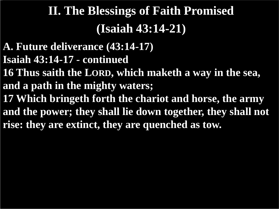- **A. Future deliverance (43:14-17) Isaiah 43:14-17 - continued 16 Thus saith the LORD, which maketh a way in the sea, and a path in the mighty waters; 17 Which bringeth forth the chariot and horse, the army and the power; they shall lie down together, they shall not**
- **rise: they are extinct, they are quenched as tow.**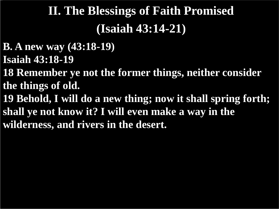- **B. A new way (43:18-19) Isaiah 43:18-19**
- **18 Remember ye not the former things, neither consider the things of old.**
- **19 Behold, I will do a new thing; now it shall spring forth; shall ye not know it? I will even make a way in the wilderness, and rivers in the desert.**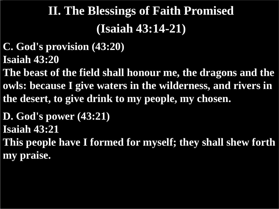- **C. God's provision (43:20) Isaiah 43:20**
- **The beast of the field shall honour me, the dragons and the owls: because I give waters in the wilderness, and rivers in the desert, to give drink to my people, my chosen.**
- **D. God's power (43:21) Isaiah 43:21**
- **This people have I formed for myself; they shall shew forth my praise.**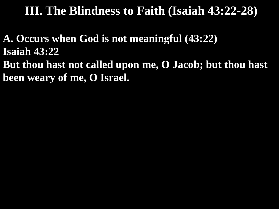**A. Occurs when God is not meaningful (43:22) Isaiah 43:22 But thou hast not called upon me, O Jacob; but thou hast been weary of me, O Israel.**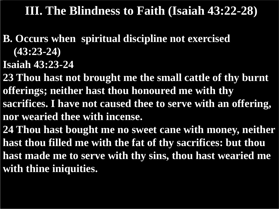- **B. Occurs when spiritual discipline not exercised (43:23-24)**
- **Isaiah 43:23-24**
- **23 Thou hast not brought me the small cattle of thy burnt offerings; neither hast thou honoured me with thy sacrifices. I have not caused thee to serve with an offering, nor wearied thee with incense.**
- **24 Thou hast bought me no sweet cane with money, neither hast thou filled me with the fat of thy sacrifices: but thou hast made me to serve with thy sins, thou hast wearied me with thine iniquities.**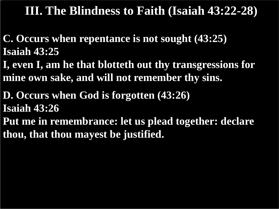**C. Occurs when repentance is not sought (43:25) Isaiah 43:25**

**I, even I, am he that blotteth out thy transgressions for mine own sake, and will not remember thy sins.**

**D. Occurs when God is forgotten (43:26) Isaiah 43:26 Put me in remembrance: let us plead together: declare thou, that thou mayest be justified.**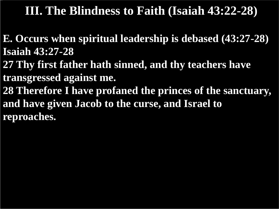- **E. Occurs when spiritual leadership is debased (43:27-28) Isaiah 43:27-28**
- **27 Thy first father hath sinned, and thy teachers have transgressed against me.**
- **28 Therefore I have profaned the princes of the sanctuary, and have given Jacob to the curse, and Israel to reproaches.**